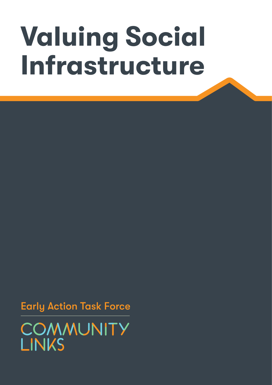## **Valuing Social Infrastructure**

Early Action Task Force

COMMUNITY **LINKS**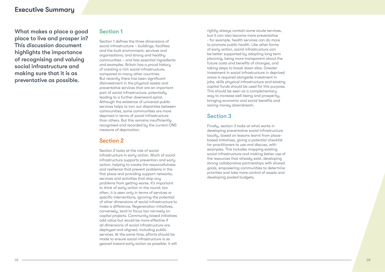#### 02 03

What makes a place a good place to live and prosper in? This discussion document highlights the importance of recognising and valuing social infrastructure and making sure that it is as preventative as possible.

#### Section 1

Section 1 defines the three dimensions of social infrastructure – buildings, facilities and the built environment; services and organisations; and strong and healthy communities – and lists essential ingredients and examples. Britain has a proud history of creating a rich social infrastructure, compared to many other countries. But recently there has been significant disinvestment in the physical assets and preventative services that are an important part of social infrastructure, potentially leading to a further downward spiral. Although the existence of universal public services helps to iron out disparities between communities, some communities are more deprived in terms of social infrastructure than others. But this remains insufficiently recognised and recorded by the current ONS measure of deprivation.

### Section 2

Section 2 looks at the role of social infrastructure in early action. Much of social infrastructure supports prevention and early action, helping to create the resourcefulness and resilience that prevent problems in the first place and providing support networks, services and activities that stop any problems from getting worse. It's important to think of early action in the round: too often, it is seen only in terms of services or specific interventions, ignoring the potential of other dimensions of social infrastructure to make a difference. Regeneration initiatives, conversely, tend to focus too narrowly on capital projects. Community based initiatives add value but would be more effective if all dimensions of social infrastructure are deployed and aligned, including public services. At the same time, efforts should be made to ensure social infrastructure is as geared toward early action as possible: it will

rightly always contain some acute services, but it can also become more preventative - for example, health services can do more to promote public health. Like other forms of early action, social infrastructure can be better supported by adopting long term planning, being more transparent about the future costs and benefits of changes, and taking steps to break down silos. Greater investment in social infrastructure in deprived areas is required alongside investment in jobs, skills physical infrastructure and existing capital funds should be used for this purpose. This should be seen as a complementary way to increase well-being and prosperity, bringing economic and social benefits and saving money downstream.

## Section 3

Finally, section 3 looks at what works in developing preventative social infrastructure locally, based on lessons learnt from placebased initiatives, giving a potential checklist for practitioners to use and discuss, with examples. This includes mapping existing social infrastructure and making better use of the resources that already exist, developing strong collaborative partnerships with shared goals, empowering communities to determine priorities and take more control of assets and developing pooled budgets.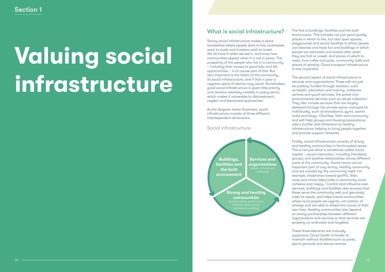## Section 1

## **Valuing social infrastructure**

## What is social infrastructure?

Strong social infrastructure makes a place somewhere where people want to live, businesses want to trade and investors wish to invest. We all know it when we see it, and know how communities appear when it is not in place. The prosperity of the people who live in a community – including their access to good jobs and life opportunities – is of course part of this. But also important is the fabric of the community, its social infrastructure, and if that is poor a negative spiral of decline may result. Nonetheless, good social infrastructure is given little priority and remains relatively invisible in policy terms, which makes it vulnerable to disinvestment, neglect and piecemeal approaches.

As the diagram below illustrates, social infrastructure consists of three different, interdependent dimensions.

Social infrastructure



The first is buildings, facilities and the built environment. This includes not just good quality places in which to live, but also open spaces, playgrounds and sports facilities in which people can exercise and have fun and buildings in which people are educated and looked after when they are frail or unwell. And places in which to meet, from cafes and pubs, community halls and places of worship. Good transport infrastructure is also important.

The second aspect of social infrastructure is services and organisations. These will not just be publicly funded through taxation, such as health, education and training, childcare centres and youth services, the police and environmental services such as refuse collection. They also include services that are largely delivered through the private sector and paid for individually, such as broadband, gyms, sports clubs and bingo. Charities, faith and community and self-help groups and housing associations add a further vital dimension to healthy infrastructure, helping to bring people together and provide support networks.

Finally, social infrastructure consists of strong and healthy communities in the broadest sense. This is not just what is sometimes called social capital – social interaction, including friendship groups, and positive relationships across different parts of the community. Social norms are an important part of any strong, healthy community and are created by the community itself. For example, intolerance toward graffiti, litter, noise and crime helps make a community more cohesive and happy.<sup>1</sup> Control and influence over services, buildings and facilities also ensures that these serve the community well and genuinely meet its needs, and helps create communities where local people are agents, not victims, of change and are able to shape the course of their own lives. Healthy communities also depend on strong partnerships between different organisations and services so that services are properly co-ordinated and targeted.

These three elements are mutually supportive. Good health is harder to maintain without facilities such as parks, sports grounds and leisure centres.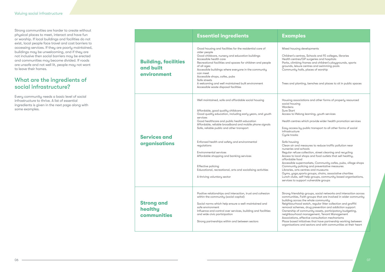#### **Examples**

nousing developments

n's centres, Schools and FE colleges, libraries centres/GP surgeries and hospitals climbing frames and children's playgrounds, sports ls, leisure centres and swimming pools unity halls, places of worship

nd planting, benches and places to sit in public spaces

- g associations and other forms of properly resourced housing
- ns
- .art
- to lifelong learning, youth services
- centres which provide wider health promotion services
- ccess by public transport to all other forms of social ucture
- racks:
- pusing
- air and measures to reduce traffic pollution near es and schools
- r refuse collection, street cleaning and recycling
- to local shops and food outlets that sell healthy,
- able food
- ible supermarkets, Community cafes, pubs, village shops unity policing and preventative measures
- es, arts centres and museums
- yoga, sports groups, choirs, associative charities
- Lunch clubs, self-help groups, community based organisations, s to support vulnerable groups
- friendship groups, social networks and interaction across inities, Faith groups that are involved in wider community a across the whole communitu
- ourhood watch, regular litter collection and graffiti I schemes, drug prevention and addiction support
- ship of community assets, participatory budgeting,
- ourhood management, Tenant Management
- ations, effective consultation mechanisms
- pased initiatives that have partnership working between  $s$ ations and sectors and with communities at their heart  $\overline{\phantom{a}}$

Strong communities are harder to create without physical places to meet, interact and have fun or worship. If local buildings and facilities do not exist, local people face travel and cost barriers to accessing services. If they are poorly maintained, buildings may be unwelcoming, and if they are not inclusive then social barriers may be erected and communities may become divided. If roads are unsafe and not well lit, people may not want to leave their homes.

### What are the ingredients of social infrastructure?

Every community needs a basic level of social infrastructure to thrive. A list of essential ingredients is given in the next page along with some examples.

|                                                         | <b>Essential ingredients</b>                                                                                                                                                                                                                                                                                                                                                                                                                                                                                                                                                     | Exal                                                                                                                                                                                                                              |
|---------------------------------------------------------|----------------------------------------------------------------------------------------------------------------------------------------------------------------------------------------------------------------------------------------------------------------------------------------------------------------------------------------------------------------------------------------------------------------------------------------------------------------------------------------------------------------------------------------------------------------------------------|-----------------------------------------------------------------------------------------------------------------------------------------------------------------------------------------------------------------------------------|
| <b>Building, facilities</b><br>and built<br>environment | Good housing and facilities for the residential care of<br>older people<br>Good childcare, nursery and education buildings<br>Accessible health care<br>Recreational facilities and spaces for children and people<br>of all ages<br>Accessible buildings where everyone in the community<br>can meet<br>Accessible shops, cafes, pubs<br>Safe streets<br>A welcoming and well maintained built environment<br>Accessible waste disposal facilities                                                                                                                              | Mixed h<br>Childre<br>Health<br>Parks, c<br>ground<br>Commu<br>Trees ar                                                                                                                                                           |
| <b>Services and</b><br>organisations                    | Well maintained, safe and affordable social housing<br>Affordable, good quality childcare<br>Good quality education, including early years, and youth<br>services<br>Good healthcare and public health education<br>Affordable, reliable broadband and mobile phone signals<br>Safe, reliable public and other transport<br>Enforced health and safety and environmental<br>regulations<br>Environmental services<br>Affordable shopping and banking services<br>Effective policing<br>Educational, recreational, arts and socialising activities<br>A thriving voluntary sector | Housing<br>social h<br>Warder<br>Sure Sto<br>Access<br>Health<br>Easy ad<br>infrastr<br>Cycle t<br>Safe ho<br>Clean c<br>nurserie<br>Regular<br>Access<br>afforda<br>Accessi<br>Commu<br>Librarie<br>Gyms,<br>Lunch c<br>services |
| <b>Strong and</b><br>healthy<br>communities             | Positive relationships and interaction, trust and cohesion<br>within the community (social capital)<br>Social norms which help ensure a well-maintained and<br>safe environment<br>Influence and control over services, building and facilities<br>and wide civic participation<br>Strong partnerships within and between sectors                                                                                                                                                                                                                                                | Strong <sup>-</sup><br>commu<br>building<br>Neighb<br>remova<br>Owners<br>neighbo<br>Associa<br>Place b<br>organis                                                                                                                |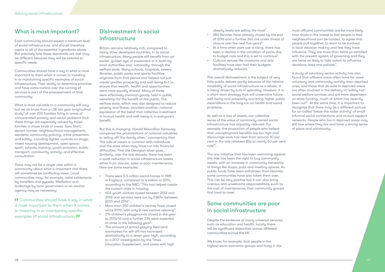### What is most important?

Each community should expect a minimum level of social infrastructure, and should therefore aspire to all of the essential ingredients above. But precisely how these standards are met may be different because they will be tailored to specific needs.

Communities should have a say in what is most important to them when it comes to investing in or maintaining specific examples of social infrastructure. Their ability to determine priorities and have some control over the running of services is part of the empowerment of that community.

What is most valuable to a community will vary but we do know from a LSE ten year longitudinal study<sup>2</sup> of over 200 families living in areas of concentrated poverty and social problems that these things are especially valued by those families in those kinds of areas: Sure Start; decent homes; neighbourhood management; wardens; community policing, crime prevention and safety, including tighter controls on drugs; mixed housing development; open space; sport; schools; training; youth provision; public transport; community activity; and effective consultation.

There may not be a single view within a community about what is important and there will sometimes be conflicting views. Local communities may, for example, resist settlements by travellers and gypsies. Mediation and brokerage by local government or an anchor agency may be necessary.

**10 Communities should have a say in what** is most important to them when it comes to investing in or maintaining specific examples of social infrastructure.

## Disinvestment in social infrastructure

Britain remains relatively rich, compared to many other developed countries, in its social infrastructure. Many people still benefit from an earlier, golden age of investment in it, both by local authorities and, nationally, through the welfare state. Many schools, hospitals, sewers, libraries, public parks and sports facilities originate from that period and helped not just create greater prosperity and well-being but to ensure that wealth, health and opportunities were more equally shared. Many of these were effectively common goods, held in public ownership for the benefit of the public. The welfare state, which was also designed to reduce poverty and illness, provided another, national expression of the belief that collective investment in mutual health and well-being is to everyone's benefit.

But this is changing. Harold Macmillan famously compared the privatisations of national industries to selling off 'the family silver,' commenting that 'the sale of assets is common with individuals and the state when they have run into financial difficulties. First the Georgian silver goes…' Similarly, over the last decade, there has been a quiet reduction in social infrastructure assets either from closure, sales or poor maintenance. Here are some examples:

most affluent communities are far more likely than those in the lowest to feel people in their neighbourhood can be trusted, to agree that people pull together, to want to be involved in local decision making and feel they have influence. They are more than twice as satisfied with the present system of governing and they are twice as likely to take action to influence decisions, laws and policies<sup>11</sup>.

- There were 5.5 million social homes in 1981 in England, compared to 4 million in 2014, according to the NAO.<sup>3</sup> This has helped create the current crisis in housing.
- 603 youth centres closed between 2012 and 2016 and services were cut by £387m between 2010 and 2016<sup>4</sup>.
- More than 350 children's centres have closed since 2010, with only 8 new centres opening $5$ .
- 214 children's playgrounds closed in the year to 2015/16 and a further 234 were expected to close in the following year<sup>6</sup>.
- The amount of school playing field land earmarked for sell-off has increased dramatically to a seven year high, according to a 2017 investigation by the Times Education Supplement, and areas with high

obesity levels are selling the most<sup>7</sup>.

- 380 libraries have already closed by the end of 2016 and a further 340 are under threat of closure over the next five years<sup>8</sup>.
- At a time when park use is rising, there has been a decline in the condition of parks due to budget cuts and this is set to continue<sup>9</sup>.
- Cultural venues like museums and arts facilities have also had their budgets dramatically reduced.

This overall disinvestment is the subject of very little public debate partly because of the relative invisibility of social infrastructure as a whole. It is being driven by cuts in spending. However, it is a short-term strategy that will undermine future well-being and prosperity and bring higher public expenditure in the long run on health and social problems.

As well as a loss of assets, our collective sense of the value of commonly owned social infrastructure has arguably reduced. For example, the proportion of people who believe that unemployment benefits are too high and discourage work has risen from around 30 per cent in the late nineteen 80s to nearly 60 per cent now10.

The one initiative that has been swimming against this tide has been the right to buy community assets, with an increase in community ownership of things like shops, pubs and meeting spaces. As public funds have been withdrawn from libraries, some communities have also taken them over. This can be very positive but it can also bring onerous and unwelcome responsibilities, such as the cost of maintenance, that community groups find hard to meet.

## Some communities are poor in social infrastructure

Despite the existence of many universal services, such as education and health, locally there will be significant disparities across different communities across the UK.

We know, for example, that people in the highest socio economic groups and living in the A study of voluntary sector activity has also found that affluent areas often have far more voluntary and community activity than deprived ones, and those that do exist in deprived areas are often involved in the delivery of 'safety net' social welfare services and are more dependent on state funding, much of which has recently been cut<sup>12</sup>. At the same time, it is important to recognise that there may be a different picture for so-called 'below the radar activity' of small informal social connections and mutual support networks. People who live in deprived areas may still love where they live and have a strong sense of place and community.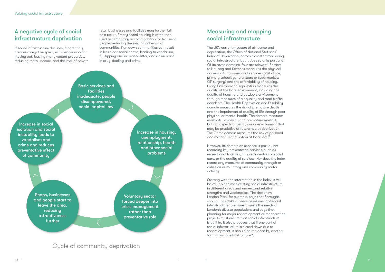Increase in social isolation and social

instability leads to

vandalism and

crime and reduces

preventative effect

of community

## A negative cycle of social infrastructure deprivation

If social infrastructure declines, it potentially creates a negative spiral, with people who can moving out, leaving many vacant properties, reducing rental income, and the level of private

### Cycle of community deprivation

The UK's current measure of affluence and deprivation, the Office of National Statistics' Index of Deprivation, comes closest to measuring social infrastructure, but it does so only partially. Of its seven domains, four are relevant. Barriers to Housing and Services measures the physical accessibility to some local services (post office; primary school; general store or supermarket; GP surgery) and the affordability of housing. Living Environment Deprivation measures the quality of the local environment, including the quality of housing and outdoors environment through measures of air quality and road traffic accidents. The Health Deprivation and Disability domain measures the risk of premature death and the impairment of quality of life through poor physical or mental health. The domain measures morbidity, disability and premature mortality but not aspects of behaviour or environment that may be predictive of future health deprivation. The Crime domain measures the risk of personal and material victimisation at local level<sup>13</sup>.

retail businesses and facilities may further fall as a result. Empty social housing is often then used as temporary accommodation for transient people, reducing the existing cohesion of communities. Run down communities can result in less clear social norms, leading to vandalism, fly-tipping and increased litter, and an increase in drug-dealing and crime.



Increase in housing, unemployment, relationship, health and other social problems

**Shops, businesses** and people start to leave the area, reducing **attractiveness** further

**Voluntary sector** forced deeper into crisis management rather than preventative role

### Measuring and mapping social infrastructure

Starting with the information in the Index, it will be valuable to map existing social infrastructure in different areas and understand relative strengths and weaknesses. The draft new London Plan, for example, says that Boroughs should undertake a needs assessment of social infrastructure to ensure it meets the needs of London's diverse population; and says that planning for major redevelopment or regeneration projects must ensure that social infrastructure is built in. It also proposes that if one part of social infrastructure is closed down due to redevelopment, it should be replaced by another form of social infrastructure<sup> $14$ </sup>.

However, its domain on services is partial, not recording key preventative services, such as recreational facilities, children's centres or social care, or the quality of services. Nor does the Index record any measures of community strength or cohesion or voluntary and community sector activity.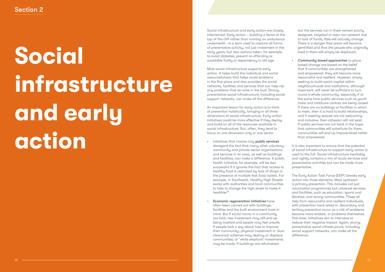# **Social infrastructure and early action**

Social infrastructure and early action are closely intertwined. Early action – building a fence at the top of the cliff rather than running an ambulance underneath –is a term used to capture all forms of preventative activity, not just investment in the early years, but also actions taken, for example, to avoid diabetes, prevent re-offending or avoidable frailty or dependency in old age.

Most social infrastructure supports early action. It helps build the individual and social resourcefulness that helps avoid problems in the first place and also provides the social networks, facilities and services that can help nip any problems that do arise in the bud. Strong, preventative social infrastructure, including social support networks, can make all the difference.

An important lesson for early action is to think of prevention holistically, bringing in all three dimensions of social infrastructure. Early action initiatives could be more effective if they deploy and build on all of the resources available in social infrastructure. But, often, they tend to focus on one dimension only or one sector:

*Community based approaches* to place based change are based on the belief that if communities are strengthened and empowered, they will become more resourceful and resilient. However, simply seeking to build social capital within neighbourhoods and institutions, although important, will never be sufficient to turn round a whole community, especially if at the same time public services such as youth clubs and childcare centres are being closed. If there are no buildings or facilities in which to meet, then it is hard to build relationships, and if meeting spaces are not welcoming and inclusive, then cohesion will not exist. If public services are cut back in the hope that communities will substitute for them, communities will end up impoverished rather than empowered.

- Initiatives that involve only *public services* disregard the fact that many other voluntary, community and private sector organisations and services in an area, as well as buildings and facilities, can make a difference. A public health initiative, for example, will be less successful if it ignores the fact that access to healthy food is restricted by lack of shops or the presence of multiple fast food outlets. For example, in Southwark, Healthy High Streets works with authorities and local communities to help to change the high street to make it healthier15.
- *• Economic regeneration initiatives* have often been carried out with buildings, facilities and the built environment most in mind. But if social norms in a community are bad, new investment may still end up being trashed and people may feel unsafe. If people lack a say about how to improve their community, physical investment in 'slum clearance' schemes may destroy or displace communities; or 'white elephant' investments may be made. If buildings are refurbished

It is also important to ensure that the potential of social infrastructure to support early action is used to the full. Social infrastructure inevitably and rightly contains a mix of acute services and preventative activities but can be made more preventative.

but the services run in them remain poorly designed, targeted or even non-existent due to lack of funds, little will actually change. There is a danger that areas will become gentrified and that the people who originally lived in them will simply be displaced.

The Early Action Task Force (EATF) breaks early action into three elements. Most upstream is primary prevention. This includes not just vaccination programmes but universal services and facilities, such as education, sports and libraries, and strong communities. These all help form resourceful and resilient individuals, with prevention hard-wired in. Secondary and tertiary prevention occur as a risk of problems become more evident, or problems themselves first arise. Initiatives aim to intervene to reduce their negative impact. Again, strong, preventative social infrastructure, including social support networks, can make all the difference.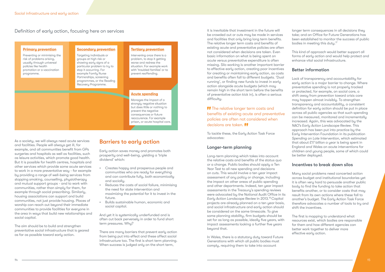Definition of early action, focusing here on services

#### **Primary prevention**

Preventing or minimising the risk of problems arising, usually through universal policies like health promotion or a vaccination programme.

#### **Secondary prevention**

Targeting individuals or groups at high risk or showing early signs of a particular problem to try to stop it occurring. For example Family Nurse Partnerships, screening programmes, or the Reading Recovery Programme.

#### **Tertiary prevention**

Intervening once there is a problem, to stop it getting worse and redress the situation. For example work with 'troubled families' or to prevent reoffending.

#### **Acute spending**

Manages the impact of a strongly negative situation but does little or nothing to prevent the negative consequences or future reoccurence. For example prison, or acute hospital care.

As a society, we will always need acute services and facilities. People will always get ill, for example, and all communities benefit from GPs surgeries and hospitals as well as facilities, such as leisure activities, which promote good health. But it is possible for health centres, hospitals and other services which provide some acute services to work in a more preventative way - for example by providing a range of well-being services from stopping smoking, counselling, physiotherapy and mutual support groups - and to work with communities, rather than simply for them, for example through social prescribing. Similarly, housing associations can support and build communities, not just provide housing. Places of worship can reach out beyond their immediate communities to provide facilities for everyone in the area in ways that build new relationships and social capital.

The aim should be to build and strengthen preventative social infrastructure that is geared as far as possible toward early action.

#### Barriers to early action

Early action saves money and promotes both prosperity and well-being, yielding a 'triple dividend' which:

- Creates happy and prosperous people and communities who are ready for everything and can contribute fully, both economically and socially.
- Reduces the costs of social failure, minimising the need for state intervention and maximizing the potential for it to invest in the future.
- Builds sustainable human, economic and social capital.

And yet it is systemically underfunded and is often cut back perversely in order to fund short term pressures. Why?

There are many barriers that prevent early action from being put into effect and these affect social infrastructure too. The first is short term planning. When success is judged only on the short term,

longer term consequences in all decisions they take; and an Office for Future Generations has been established to monitor the success of public bodies in meeting this duty.<sup>17</sup>

it is inevitable that investment in the future will be crowded out or cuts may be made in services and facilities that only bring long term benefits. The relative longer term costs and benefits of existing acute and preventative policies are often not considered when decisions are taken. Even basic information on what is being spent on acute versus preventative expenditure is often missing. Silo working is another important barrier to effective early action, creating poor incentives for creating or maintaining early action, as costs and benefits often fall to different budgets. 'Dual running', or finding new funds to invest in early action alongside acute budgets (which may remain high in the short term before the benefits of preventative action kick in), is often a serious difficulty.

**The relative longer term costs and** benefits of existing acute and preventative policies are often not considered when decisions are taken.

To tackle these, the Early Action Task Force advocates:

#### Longer-term planning

Long-term planning which takes into account the relative costs and benefits of the status quo or a change. Public bodies should apply a Ten Year Test to all new spending and decisions on cuts. This would involve a ten year impact assessment of any policy or change, including the impact on other areas of public spending and other departments. Indeed, ten year impact assessments in the Treasury's spending reviews were advocated by the National Audit Office in its *Early Action Landscape Review* in 2013.16 Capital projects are already planned on a ten year basis, and social infrastructure and early action should be considered on the same timescale. To give some planning stability, firm budgets should be set for as long as possible, ideally five years, with impact assessments looking a further five years beyond that.

In Wales, there is a statutory duty toward Future Generations with which all public bodies must comply, requiring them to take into account

This kind of approach would better support all forms of early action and would help protect and enhance vital social infrastructure.

#### Better information

Lack of transparency and accountability for early action is a major barrier to change. Where preventative spending is not properly tracked or protected, for example, on social care, a shift away from prevention toward crisis care may happen almost invisibly. To strengthen transparency and accountability, a consistent definition for early action should be put in place across all public agencies so that such spending can be measured, monitored and incrementally increased. Again, this was advocated by the *NAO's Early Action Landscape Review*. This approach has been put into practice by the Early Intervention Foundation in its publication *Spending on Late Intervention*, which estimated that about £17 billion a year is being spent in England and Wales on acute interventions for children and young people, some of which could be better deployed.

#### Incentives to break down silos

Many social problems need concerted action across budget and institutional boundaries yet it is often very hard to persuade another public body to find the funding to take action that benefits another, or to consider costs that may result from its own actions where these fall to another's budget. The Early Action Task Force therefore advocates a number of tools to try and shift the incentives.

The first is mapping to understand what resources exist, which bodies are responsible for them and how different agencies can better work together to deliver more effective early action.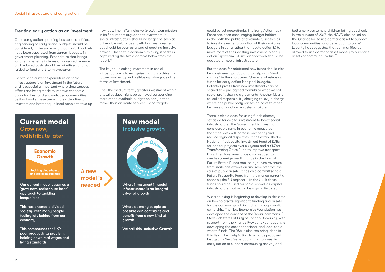

#### Treating early action as an investment

Once early action spending has been identified, ring-fencing of early action budgets should be considered, in the same way that capital budgets have been separated from current budgets in government planning. Expenditure that brings long term benefits in terms of increased revenue and reduced costs should be prioritised and not raided to fund short-term pressures.

new jobs. The RSA's Inclusive Growth Commission in its final report argued that investment in social infrastructure should no longer be seen as affordable only once growth has been created but should be seen as a way of creating inclusive growth. The shift in economic thinking it seeks is captured by the two diagrams below from the report.<sup>18</sup>

Capital and current expenditure on social infrastructure is an investment in the future and is especially important where simultaneous efforts are being made to improve economic opportunities for disadvantaged communities, as it will make these areas more attractive to investors and better equip local people to take up The key to unlocking investment in social infrastructure is to recognise that it is a driver for future prosperity and well-being, alongside other forms of investment.

Over the medium term, greater investment within a total budget might be achieved by spending more of the available budget on early action rather than on acute services – and targets

could be set accordingly. The Early Action Task Force has been encouraging budget holders in the both the public and voluntary sectors a) to invest a greater proportion of their available budgets in early rather than acute action b) to move more of their existing investment in early action 'upstream'. A similar approach should be adopted on social infrastructure.

better services to help children failing at school. In the autumn of 2017, the NCVO also called on the Chancellor 'to use dormant asset to support local communities for a generation to come'. Locality has suggested that communities be allowed to use dormant asset money to purchase assets of community value.<sup>20</sup>

But the case for additional new funds should also be considered, particularly to help with "dual running' in the short term. One way of releasing funds for early action is to pool budgets. Potential profits from new investments can be shared to a pre-agreed formula or what we call social profit sharing agreements. Another idea is so-called responsibility charging to levy a charge where one public body passes on costs to other because of inaction or systems failure.

There is also a case for using funds already set aside for capital investment to boost social infrastructure. The Government is investing considerable sums in economic measures that it believes will increase prosperity and reduce regional disparities. It has established a National Productivity Investment Fund of £31bn for capital projects over six years and a £1.7bn Transforming Cities Fund to improve transport links. The Government has also pledged to create sovereign wealth funds in the form of Future Britain Funds backed by future revenues from shale gas extraction and receipts from the sale of public assets. It has also committed to a Future Prosperity Fund from the money currently spent by the EU regionally in the UK. If these funds could be used for social as well as capital infrastructure that would be a good first step.

Wider thinking is beginning to develop in this area on how to create significant funding and assets for the common good, including through public ownership. The New Economics Foundation has developed the concept of the 'social commons'.19 Steve Schifferes at City of London University, with support from the Friends Provident Foundation, is developing the case for national and local social wealth funds. The RSA is also exploring ideas in this field. The Early Action Task Force proposed last year a Next Generation Fund to invest in early action to support community activity and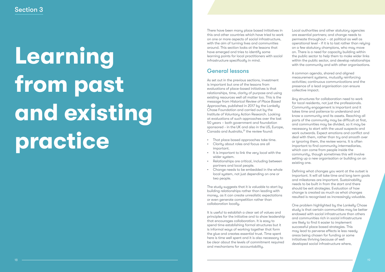# **Learning from past and existing practice**

As set out in the previous sections, investment is important but one of the lessons from evaluations of place-based initiatives is that relationships, time, clarity of purpose and using existing resources well all matter too. This is the message from *Historical Review of Place Based Approaches*, published in 2017 by the Lankelly Chase Foundation and carried out by the Institute of Voluntary Action Research. Looking at evaluations of such approaches over the last 50 years – both government and foundation sponsored - in the UK and also in the US, Europe, Canada and Australia.<sup>21</sup> the review found:

There have been many place based initiatives in this and other countries which have tried to work on one or more aspects of social infrastructure, with the aim of turning lives and communities around. This section looks at the lessons that have emerged and tries to identify some learning points for local practitioners with social infrastructure specifically in mind.

## General lessons

- That place based approaches take time.
- Clarity about roles and focus are all important.
- It is important to link the very local with the wider sustem.
- Relationships are critical, including between partners and local people.
- Change needs to be embedded in the whole local system, not just depending on one or two people.

The study suggests that it is valuable to start by building relationships rather than leading with money, as it can create unrealistic expectations or even generate competition rather than collaboration locally.

It is useful to establish a clear set of values and principles for the initiative and to show leadership that encourages collaboration. It is easy to spend time establishing formal structures but it is informal ways of working together that form the glue and creates essential trust. Time spent here is time well spent and it is also necessary to be clear about the levels of commitment required and mechanisms for accountability.

Local authorities and other statutory agencies are essential partners; and change needs to permeate throughout – at political as well as operational level - if it is to last rather than relying on a few statutory champions, who may move on. There is a need for capacity building within the public sector to help them to make wider links within the public sector, and develop relationships with the community and with other organisations.

A common agenda, shared and aligned measurement systems, mutually reinforcing activities; continuous communications and the presence of a lead organisation can ensure collective impact.

Any structures for collaboration need to work for local residents, not just the professionals. Community engagement is important and it takes time and patience to understand and know a community and its assets. Reaching all parts of the community may be difficult at first, and communities may be divided, so it may be necessary to start with the usual suspects and work outwards. Expect emotions and conflict and deal with them, rather than try and smooth over or ignoring them, the review warns. It is often important to find community intermediaries, which can come from people inside the community, though sometimes this will involve setting up a new organisation or building on an existing one.

Defining what changes you want at the outset is important. It will all take time and long term goals and milestones are important. Sustainability needs to be built in from the start and there should be exit strategies. Evaluation of how change is created as much as what changes resulted is recognised as increasingly valuable.

One problem highlighted by the Lankelly Chase study is that certain communities may be better endowed with social infrastructure than others and communities rich in social infrastructure are likely to find it easier to implement successful place based strategies. This may lead to perverse effects ie less needy areas being chosen for funding or some initiatives thriving because of well developed social infrastructure where,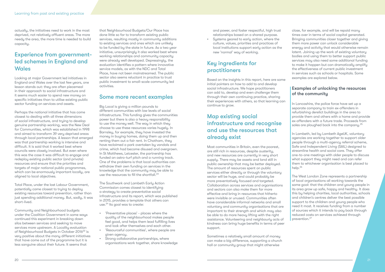## Experience from governmentled schemes in England and **Wales**

actually, the initiatives need to work in the most deprived, not relatively affluent areas. The more needy the area, the more time is needed to build capacity.

Looking at major Government led initiatives in England and Wales over the last few years, one lesson stands out: they are often piecemeal in their approach to social infrastructure and it seems much easier to spend new money on specific initiatives than to utilise existing public sector funding on services and assets.

Perhaps the national initiative that has come closest to dealing with all three dimensions of social infrastructure, and trying to develop genuine partnership working, was the New Deal for Communities, which was established in 1998 and aimed to transform 39 very deprived areas through local partnerships. A lesson that emerged was that partnership working is intensive and difficult. It is said that it worked best where councils were closely involved. But even where this was the case it was difficult to engage and redeploy existing public sector (and private) resources and ensure that the priorities and targets of major national public programmes, which can be enormously important locally, are aligned to local objectives.

Big Local is giving a million pounds to different communities with low levels of social infrastructure. This funding gives the communities power but there is also a heavy responsibility to use the money well. The way in which they choose to use these resources varies hugely. In Barnsley, for example, they have invested the money in buying homes, doing them up and then renting them out a fair rent. In Chatham, they have reclaimed a park overtaken by vandals and crime, which had become disused and overgrown. In St Matthews, Leicester, the partnership has funded an astro-turf pitch and a running track. One of the problems is that local authorities can withdraw their own funding on services in the knowledge that the community may be able to use the resources to fill the shortfall.<sup>23</sup>

Total Place, under the last Labour Government, potentially came closest to trying to deploy existing resources toward prevention, rather than just spending additional money. But, sadly, it was short-lived.

The Southwark and Lambeth Early Action Commission comes closest to identifying a strategy to create preventative social infrastructure and its report, which was published in 2015, provides a template that others can use.<sup>24</sup> Its goal was to create:

Community and Neighbourhood budgets under the Coalition Government in some ways continued this experiment in breaking down silos between services and seeking to move services more upstream. A Locality evaluation of Neighbourhood Budgets in October 2016<sup>22</sup> is very positive about the many different initiatives that have come out of the programme but it is less sanguine about their future. It seems that

that Neighbourhood Budgets/Our Place has done little so far to transform existing public services, resulting mostly in community additions to existing services and ones which are unlikely to be funded by the state in future. As a two year initiative, unsurprisingly it also worked best where working relationships and community capacity were already well developed. Depressingly, the evaluation identifies a pattern where innovative service models, as with the NDC and Total Place, have not been mainstreamed. The public sector also seems reluctant in practice to trust public investment to small-scale community led activities.

#### Some more recent examples

In Lancashire, the police force have set up a separate company to train ex-offenders in refurbishing derelict buildings in the area to provide them and others with a home and provide ex-offenders with a future trade. Proceeds from sales are ploughed back into the company.<sup>25</sup>

In Lambeth, led by Lambeth AgeUK, voluntary agencies are working together to support older people through a multi-agency referral scheme, Safe and Independent Living (SAIL) designed to streamline health and social care. They offer one-to-one meetings with older people to discuss what support they might need and can refer them to whichever organisation is best placed to help.<sup>26</sup>

- 'Preventative places' places where the quality of the neighbourhood makes people feel good, and helps them lead fulfilling lives and look after themselves and each other.
- 'Resourceful communities', where people are given agency.
- Strong collaborative partnerships, where organisations work together, share knowledge

and power, and foster respectful, high trust relationships based on a shared purpose.

• Systems geared to early action, where the culture, values, priorities and practices of local institutions support early action as the new 'normal' way of working.

## Key ingredients for practitioners

Based on the insights in this report, here are some initial pointers on how to add to and develop social infrastructure. We hope practitioners can add to, develop and even challenge them through their own continuing practice, sharing their experiences with others, so that learning can continue to grow.

## Map existing social infrastructure and recognise and use the resources that already exist

Most communities in Britain, even the poorest, are still rich in resources, despite austerity, and new resources are currently in very short supply. There may be assets and land still in public ownership that may be better deployed. The amount of resources spent on public services either directly or through the voluntary sector will be huge, and could probably be more preventatively focused and targeted. Collaboration across services and organisations and sectors can also make them far more effective and bring in resources that hitherto were invisible or unused. Communities often have considerable informal networks and small voluntary and community organisations that are important to their strength and which may also be able to do more heavy lifting with the right assistance. Volunteering and neighbourly acts of kindness can bring huge benefits in terms of peer support.

Sometimes a relatively small amount of money can make a big difference, supporting a church hall or community group that might otherwise

close, for example, and will be repaid many times over in terms of social capital generated. Bringing communities closer together and giving them more power can unlock considerable energy and activity that would otherwise remain latent. Joining up the work of existing voluntary bodies and using them to better support public services may also need some additional funding to make it happen but can dramatically amplify the effectiveness of current public investment in services such as schools or hospitals. Some examples are explored below.

#### Examples of unlocking the resources of the community

The West London Zone represents a partnership of local organisations all working towards the same goal: that the children and young people in its area grow up safe, happy and healthy. It does this by helping charities, local authorities, schools and children's centres deliver the best possible support to the children and young people who need it most. It receives funding from a number of sources which it intends to pay back through reduced costs on services achieved through prevention.27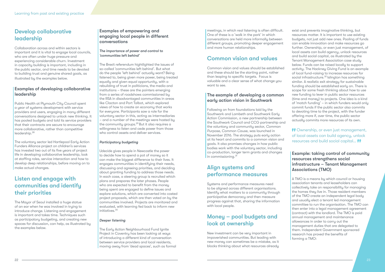## Develop collaborative leadership

Public Health at Plymouth City Council spent a year of systems development with service providers and users, engaging in many different conversations designed to unlock new thinking. It has pooled budgets and told its service providers that their contracts are secure to encourage more collaborative, rather than competitive leadership.<sup>28</sup>

Collaboration across and within sectors is important and it is vital to engage local councils, who are often under huge pressure and experiencing considerable churn. Investment in capacity building is important, including in the public sector, and time needs to be devoted to building trust and genuine shared goals, as illustrated by the examples below.

#### Examples of developing collaborative leadership

The Brexit referendum hightlighted the issues of so-called 'communities left behind'. But what do the people 'left behind' actually want? Being listened to, being given more power, being treated equally and given equal opportunity, with a rebuilding of trust in politicians, the media and institutions – these are the pointers emerging from a series of roadshows commissioned by the RSA in disadvantaged communities in areas like Clacton and Port Talbot, which explored views of how to create an economy that works for everyone. Participants saw a role for the voluntary sector in this, acting as intermediaries – and a number of the meetings were hosted by the community groups.<sup>29</sup> But it also requires a willingness to listen and cede power from those who control assets and deliver services.

The voluntary sector led Hartlepool Early Action Funders Alliance project on children's services has invested two out of its five years of project life in developing collaborative leadership, look at staffing roles, service interaction and how to develop deep relationships, before moving on to make actual changes.

## Listen and engage with communities and identify their priorities

The Mayor of Seoul installed a huge statue of an ear when he was involved in trying to introduce change. Listening and engagement is important and takes time. Techniques such as participatory budgeting, and creating new spaces for discussion, can help, as illustrated by the examples below.

#### Examples of empowering and engaging local people in different conversations

#### *The importance of power and control to 'communities left behind'*

Following on from foundations laid by the Southwark and Lambeth and Southwark Early Action Commission, a new partnership between the Southwark Council and CCG partnership and the voluntary and community sector, *Common Purpose, Common Cause*, was launched in November 2016. The strategy puts early action at its heart and commits to a common vision and goals. It also promises changes in how public bodies work with the voluntary sector, including co-production, longer term grants and changes  $\ln$  commissioning.<sup>31</sup>

#### *Participatory budgeting*

Udecide gives people in Newcastle the power to decide how to spend a pot of money so it can make the biggest difference to their lives. It engages communities in identifying their needs, discussing and agreeing priorities, and deciding about granting funding to address those needs. In each case, a steering group is recruited which plans and prepares the later phases. People who are expected to benefit from the money being spent are engaged to define issues and explore solutions, which are converted into costed project proposals, which are then voted on by the communities involved. Projects are monitored and evaluated, with learning fed back to inform new initiatives.30

#### *Deeper listening*

The Early Action Neighbourhood Fund Ignite Project in Coventry has been looking at ways of introducing a different kind of conversation between service providers and local residents, moving away from 'dead spaces', such as formal

meetings, in which real listening is often difficult. One of these is a 'walk in the park' in which conversations are held more informally between different groups, promoting deeper engagement and more human relationships.

## Common vision and values

Common vision and values should be established and these should be the starting point, rather than leaping to specific targets. Focus is valuable and a clear sense of what change you want to see.

#### The example of developing a common early action vision in Southwark

### Align systems and performance measures

Systems and performance measures need to be aligned across different organisations. Identify what matters to a community through participative democracy and then measure progress against that, sharing the information with local people.

## Money – pool budgets and look at ownership

New investment can be very important in impoverished communities. But leading with new money can sometimes be a mistake, as it blocks thinking about what resources already

exist and prevents imaginative thinking, but resources matter. It is important to use existing budgets, not just add new ones. Pooling of funds can enable innovation and make resources go further. Ownership, or even just management, of local assets can build agency, unlock resources and build social capital, as illustrated by the Tenant Management Association case study below. Funds can be raised locally to support activity. The Hackney Giving Fund is an example of local fund-raising to increase resources for social infrastructure.<sup>32</sup> Islington has something similar. A realistic exit strategy for sustainable funding should be established early on. There is scope for some fresh thinking about how to use new funding to lever in public sector resources (time and money) to projects. One idea is a kind of 'match funding' – in which funders would only commit funds if the public sector also commits to devoting time to the project, with the funder offering more if, over time, the public sector actually commits more resources of its own.

*Ownership, or even just management,* of local assets can build agency, unlock resources and build social capital... *If* 

#### Example: taking control of community resources strengthens social infrastructure – Tenant Management Associations (TMO)

A TMO is a means by which council or housing association tenants and leaseholders can collectively take on responsibility for managing the homes they live in. Those resident members of the TMO create an independent legal body and usually elect a tenant led management committee to run the organisation. The TMO can then enter into a legal management agreement (contract) with the landlord. The TMO is paid annual management and maintenance allowances in order to carry out the management duties that are delegated to them. Independent Government sponsored research has proved the benefits of forming a TMO: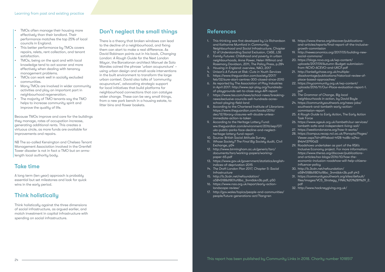- TMOs often manage their housing more effectively than their landlord. Their performance matches the top 25% of local councils in England.
- This better performance by TMOs covers repairs, relets, rent collection, and tenant satisfaction.
- TMOs, being on the spot and with local knowledge tend to act sooner and more effectively when dealing with tenancy management problems.
- TMOs can work well in socially excluded communities.
- Many TMOs are involved in wider community activities and play an important part in neighbourhood regeneration.
- The majority of TMO tenants say the TMO helps to increase community spirit and improve the quality of life.

NB The so-called Kensington and Chelsea Tenant Management Association involved in the Grenfell Tower disaster is not in fact a TMO but an armslength local authority body.

Because TMOs improve and care for the buildings they manage, rates of occupation increase, generating additional rents. This creates a virtuous circle, as more funds are available for improvements and repairs.

### Take time

A long term (ten year) approach is probably essential but set milestones and look for quick wins in the early period.

## Think holistically

Think holistically against the three dimensions of social infrastructure, as argued earlier, and match investment in capital infrastructure with spending on social infrastructure.

## Don't neglect the small things

There is a theory that broken windows can lead to the decline of a neighbourhood, and fixing them can start to make a real difference. As David Robinson points out in his book, *Changing London: A Rough Guide for the Next London Mayor*, the Barcelonan architect Manuel de Sola Morales coined the phrase 'urban acupuncture' – using urban design and small-scale interventions in the built environment to transform the large urban context. David also talks of 'community acupuncture', advocating strategic support for local initiatives that build platforms for neighbourhood connections that can catalyse wider change. These can be very small things, from a new park bench in a housing estate, to litter bins and flower baskets.

#### References

- 1. This thinking was first developed by Liz Richardson and Katharine Mumford in *Community, Neighbourhood and Social Infrastructure,* Chapter 12 of Understanding Social Exclusion, CASE, LSE
- 2. *Family Futures: Childhood and poverty in urban neighbourhoods*, Anne Power, Helen Willmot and Rosemary Davidson, 2011, The Policy Press, p.284
- 3. *Housing in England: overview*, NAO, 2017
- 4. Unison's *A Future at Risk: Cuts in Youth Services* 5. https://www.theguardian.com/society/2017/
- feb/02/sure-start-centres-300-closed-since-2010 6. As reported by The Association of Play Industries in April 2017: http://www.api-play.org/hundredsof-playgrounds-set-to-close-says-API-report
- 7. https://www.tes.com/news/school-news/breakingnews/exclusive-councils-sell-hundreds-acresschool-playing-field-land
- 8. According to the Chartered Institute of Librarians: https://www.theguardian.com/books/2016/ dec/12/library-closures-will-double-unlessimmediate-action-is-taken
- 9. According to the Heritage Lottery Fund: ww.theguardian.com/environment/2016/sep/07/ uks-public-parks-face-decline-and-neglectheritage-lottery-fund-report
- 10. Source: British Social Attitude Survey
- 11. *Whose Society? The Final Big Society Audit*, Civil Exchange, p54
- 12. http://www.birmingham.ac.uk/generic/tsrc/ documents/tsrc/working-papers/workingpaper-65.pdf
- 13. https://www.gov.uk/government/statistics/englishindices-of-deprivation-2015
- 14. *The Draft London Plan 2017, Chapter 5: Social Infrastructure*
- 15. http://b.3cdn.net/nefoundation/ a5845188d1801a18bc\_3nm6bkn3b.pdf, p50
- 16. https://www.nao.org.uk/report/early-actionlandscape-review/
- 17. http://gov.wales/topics/people-and-communities/ people/future-generations-act/?lang=en

| 18. https://www.thersa.org/discover/publications-   |
|-----------------------------------------------------|
| and-articles/reports/final-report-of-the-inclusive- |
| growth-commission                                   |

- 19. http://neweconomics.org/2017/05/building-newsocial-commons/
- 20. https://blogs.ncvo.org.uk/wp-content/ uploads/2017/09/Autumn-Budget-submissionfrom-NCVO-ACEVO-and-UKCF.pdf
- 21. http://lankellychase.org.uk/multipledisadvantage/publications/historical-review-ofplace-based-approaches/
- 22. https://mycommunity.org.uk/wp-content/ uploads/2016/11/Our-Place-evaluation-report-1. pdf
- 23. *The Grammar of Change, Big local neighbourhoods in action*, by David Boyle
- 24. https://communitysouthwark.org/news-jobs/ southwark-and-lambeth-early-actioncommission-report
- 25. *A Rough Guide to Early Action*, The Early Action Task Force
- 26. https://www.ageuk.org.uk/lambeth/our-services/ lambeth-safe-and-independent-living-sail/
- 27. https://westlondonzone.org/how-it-works/
- 28. https://campus.recap.ncl.ac.uk/Panopto/Pages/ Viewer.aspx?id=df91ebad-4f28-4a8b-a24a-84b4137f90d3
- 29. Roadshows undertaken as part of the RSA's Inclusive Economy project. For more information: *https://www.thersa.org/discover/publicationsand-articles/rsa-blogs/2016/10/how-theeconomic-inclusion-roadshow-will-help-citizensinfluence-policy*
- 30. http://b.3cdn.net/nefoundation/ a5845188d1801a18bc\_3nm6bkn3b.pdf p43
- 31. https://communitysouthwark.org/sites/default/ files/images/VCS\_Strategy\_FINAL%20%281%29\_2. pdf
- 32. http://www.hackneygiving.org.uk/